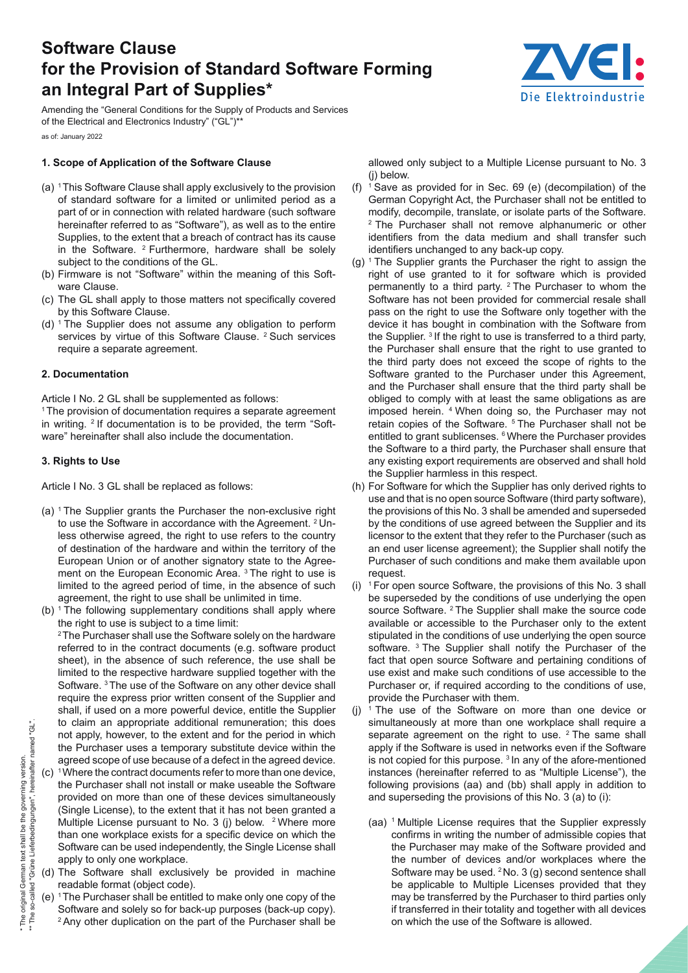# **Software Clause for the Provision of Standard Software Forming an Integral Part of Supplies\***



Amending the "General Conditions for the Supply of Products and Services of the Electrical and Electronics Industry" ("GL")\*\* as of: January 2022

## **1. Scope of Application of the Software Clause**

- (a) 1 This Software Clause shall apply exclusively to the provision of standard software for a limited or unlimited period as a part of or in connection with related hardware (such software hereinafter referred to as "Software"), as well as to the entire Supplies, to the extent that a breach of contract has its cause in the Software.  $2$  Furthermore, hardware shall be solely subject to the conditions of the GL.
- (b) Firmware is not "Software" within the meaning of this Software Clause.
- (c) The GL shall apply to those matters not specifically covered by this Software Clause.
- (d)  $1$  The Supplier does not assume any obligation to perform services by virtue of this Software Clause. <sup>2</sup> Such services require a separate agreement.

#### **2. Documentation**

Article I No. 2 GL shall be supplemented as follows:

<sup>1</sup> The provision of documentation requires a separate agreement in writing. 2 If documentation is to be provided, the term "Software" hereinafter shall also include the documentation.

#### **3. Rights to Use**

Article I No. 3 GL shall be replaced as follows:

- (a) 1 The Supplier grants the Purchaser the non-exclusive right to use the Software in accordance with the Agreement. 2 Unless otherwise agreed, the right to use refers to the country of destination of the hardware and within the territory of the European Union or of another signatory state to the Agreement on the European Economic Area.<sup>3</sup> The right to use is limited to the agreed period of time, in the absence of such agreement, the right to use shall be unlimited in time.
- (b)  $1$  The following supplementary conditions shall apply where the right to use is subject to a time limit:

<sup>2</sup> The Purchaser shall use the Software solely on the hardware referred to in the contract documents (e.g. software product sheet), in the absence of such reference, the use shall be limited to the respective hardware supplied together with the Software. 3 The use of the Software on any other device shall require the express prior written consent of the Supplier and shall, if used on a more powerful device, entitle the Supplier to claim an appropriate additional remuneration; this does not apply, however, to the extent and for the period in which the Purchaser uses a temporary substitute device within the agreed scope of use because of a defect in the agreed device.

- $(c)$ <sup>1</sup> Where the contract documents refer to more than one device, the Purchaser shall not install or make useable the Software provided on more than one of these devices simultaneously (Single License), to the extent that it has not been granted a Multiple License pursuant to No. 3 (j) below. <sup>2</sup> Where more than one workplace exists for a specific device on which the Software can be used independently, the Single License shall apply to only one workplace.
- (d) The Software shall exclusively be provided in machine readable format (object code).
- (e) 1 The Purchaser shall be entitled to make only one copy of the Software and solely so for back-up purposes (back-up copy). <sup>2</sup> Any other duplication on the part of the Purchaser shall be

allowed only subject to a Multiple License pursuant to No. 3 (i) below

- (f)  $1$  Save as provided for in Sec. 69 (e) (decompilation) of the German Copyright Act, the Purchaser shall not be entitled to modify, decompile, translate, or isolate parts of the Software. 2 The Purchaser shall not remove alphanumeric or other identifiers from the data medium and shall transfer such identifiers unchanged to any back-up copy.
- $(q)$ <sup>1</sup> The Supplier grants the Purchaser the right to assign the right of use granted to it for software which is provided permanently to a third party. 2 The Purchaser to whom the Software has not been provided for commercial resale shall pass on the right to use the Software only together with the device it has bought in combination with the Software from the Supplier. 3 If the right to use is transferred to a third party, the Purchaser shall ensure that the right to use granted to the third party does not exceed the scope of rights to the Software granted to the Purchaser under this Agreement, and the Purchaser shall ensure that the third party shall be obliged to comply with at least the same obligations as are imposed herein. 4 When doing so, the Purchaser may not retain copies of the Software. 5 The Purchaser shall not be entitled to grant sublicenses. <sup>6</sup> Where the Purchaser provides the Software to a third party, the Purchaser shall ensure that any existing export requirements are observed and shall hold the Supplier harmless in this respect.
- (h) For Software for which the Supplier has only derived rights to use and that is no open source Software (third party software), the provisions of this No. 3 shall be amended and superseded by the conditions of use agreed between the Supplier and its licensor to the extent that they refer to the Purchaser (such as an end user license agreement); the Supplier shall notify the Purchaser of such conditions and make them available upon request.
- (i)  $1$  For open source Software, the provisions of this No. 3 shall be superseded by the conditions of use underlying the open source Software. <sup>2</sup> The Supplier shall make the source code available or accessible to the Purchaser only to the extent stipulated in the conditions of use underlying the open source software. <sup>3</sup> The Supplier shall notify the Purchaser of the fact that open source Software and pertaining conditions of use exist and make such conditions of use accessible to the Purchaser or, if required according to the conditions of use, provide the Purchaser with them.
- (i)  $1$  The use of the Software on more than one device or simultaneously at more than one workplace shall require a separate agreement on the right to use. <sup>2</sup> The same shall apply if the Software is used in networks even if the Software is not copied for this purpose. 3 In any of the afore-mentioned instances (hereinafter referred to as "Multiple License"), the following provisions (aa) and (bb) shall apply in addition to and superseding the provisions of this No. 3 (a) to (i):
	- (aa) <sup>1</sup> Multiple License requires that the Supplier expressly confirms in writing the number of admissible copies that the Purchaser may make of the Software provided and the number of devices and/or workplaces where the Software may be used.  $2$  No. 3 (g) second sentence shall be applicable to Multiple Licenses provided that they may be transferred by the Purchaser to third parties only if transferred in their totality and together with all devices on which the use of the Software is allowed.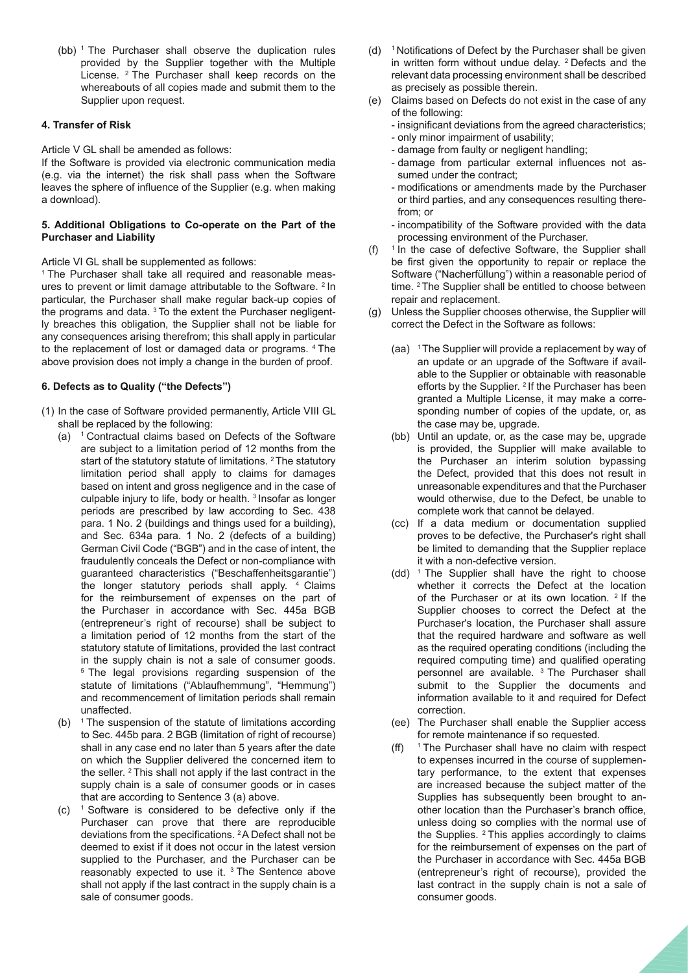(bb) 1 The Purchaser shall observe the duplication rules provided by the Supplier together with the Multiple License. 2 The Purchaser shall keep records on the whereabouts of all copies made and submit them to the Supplier upon request.

#### **4. Transfer of Risk**

Article V GL shall be amended as follows:

If the Software is provided via electronic communication media (e.g. via the internet) the risk shall pass when the Software leaves the sphere of influence of the Supplier (e.g. when making a download).

#### **5. Additional Obligations to Co-operate on the Part of the Purchaser and Liability**

Article VI GL shall be supplemented as follows:

<sup>1</sup> The Purchaser shall take all required and reasonable measures to prevent or limit damage attributable to the Software. 2 In particular, the Purchaser shall make regular back-up copies of the programs and data. 3 To the extent the Purchaser negligently breaches this obligation, the Supplier shall not be liable for any consequences arising therefrom; this shall apply in particular to the replacement of lost or damaged data or programs. 4 The above provision does not imply a change in the burden of proof.

### **6. Defects as to Quality ("the Defects")**

- (1) In the case of Software provided permanently, Article VIII GL shall be replaced by the following:
	- (a) 1 Contractual claims based on Defects of the Software are subject to a limitation period of 12 months from the start of the statutory statute of limitations. <sup>2</sup> The statutory limitation period shall apply to claims for damages based on intent and gross negligence and in the case of culpable injury to life, body or health. 3 Insofar as longer periods are prescribed by law according to Sec. 438 para. 1 No. 2 (buildings and things used for a building), and Sec. 634a para. 1 No. 2 (defects of a building) German Civil Code ("BGB") and in the case of intent, the fraudulently conceals the Defect or non-compliance with guaranteed characteristics ("Beschaffenheitsgarantie") the longer statutory periods shall apply. <sup>4</sup> Claims for the reimbursement of expenses on the part of the Purchaser in accordance with Sec. 445a BGB (entrepreneur's right of recourse) shall be subject to a limitation period of 12 months from the start of the statutory statute of limitations, provided the last contract in the supply chain is not a sale of consumer goods. <sup>5</sup> The legal provisions regarding suspension of the statute of limitations ("Ablaufhemmung", "Hemmung") and recommencement of limitation periods shall remain unaffected.
	- (b)  $1$  The suspension of the statute of limitations according to Sec. 445b para. 2 BGB (limitation of right of recourse) shall in any case end no later than 5 years after the date on which the Supplier delivered the concerned item to the seller. 2 This shall not apply if the last contract in the supply chain is a sale of consumer goods or in cases that are according to Sentence 3 (a) above.
	- (c) 1 Software is considered to be defective only if the Purchaser can prove that there are reproducible deviations from the specifications. 2 A Defect shall not be deemed to exist if it does not occur in the latest version supplied to the Purchaser, and the Purchaser can be reasonably expected to use it. 3 The Sentence above shall not apply if the last contract in the supply chain is a sale of consumer goods.
- (d) 1 Notifications of Defect by the Purchaser shall be given in written form without undue delay. 2 Defects and the relevant data processing environment shall be described as precisely as possible therein.
- (e) Claims based on Defects do not exist in the case of any of the following:
	- insignificant deviations from the agreed characteristics;
	- only minor impairment of usability;
	- damage from faulty or negligent handling;
	- damage from particular external influences not assumed under the contract;
	- modifications or amendments made by the Purchaser or third parties, and any consequences resulting therefrom; or
	- incompatibility of the Software provided with the data processing environment of the Purchaser.
- (f)  $1$  In the case of defective Software, the Supplier shall be first given the opportunity to repair or replace the Software ("Nacherfüllung") within a reasonable period of time. 2 The Supplier shall be entitled to choose between repair and replacement.
- (g) Unless the Supplier chooses otherwise, the Supplier will correct the Defect in the Software as follows:
	- (aa) <sup>1</sup> The Supplier will provide a replacement by way of an update or an upgrade of the Software if available to the Supplier or obtainable with reasonable efforts by the Supplier. <sup>2</sup> If the Purchaser has been granted a Multiple License, it may make a corresponding number of copies of the update, or, as the case may be, upgrade.
	- (bb) Until an update, or, as the case may be, upgrade is provided, the Supplier will make available to the Purchaser an interim solution bypassing the Defect, provided that this does not result in unreasonable expenditures and that the Purchaser would otherwise, due to the Defect, be unable to complete work that cannot be delayed.
	- (cc) If a data medium or documentation supplied proves to be defective, the Purchaser's right shall be limited to demanding that the Supplier replace it with a non-defective version.
	- (dd) <sup>1</sup> The Supplier shall have the right to choose whether it corrects the Defect at the location of the Purchaser or at its own location. <sup>2</sup> If the Supplier chooses to correct the Defect at the Purchaser's location, the Purchaser shall assure that the required hardware and software as well as the required operating conditions (including the required computing time) and qualified operating personnel are available. 3 The Purchaser shall submit to the Supplier the documents and information available to it and required for Defect correction.
	- (ee) The Purchaser shall enable the Supplier access for remote maintenance if so requested.
	- (ff) 1 The Purchaser shall have no claim with respect to expenses incurred in the course of supplementary performance, to the extent that expenses are increased because the subject matter of the Supplies has subsequently been brought to another location than the Purchaser's branch office, unless doing so complies with the normal use of the Supplies. <sup>2</sup> This applies accordingly to claims for the reimbursement of expenses on the part of the Purchaser in accordance with Sec. 445a BGB (entrepreneur's right of recourse), provided the last contract in the supply chain is not a sale of consumer goods.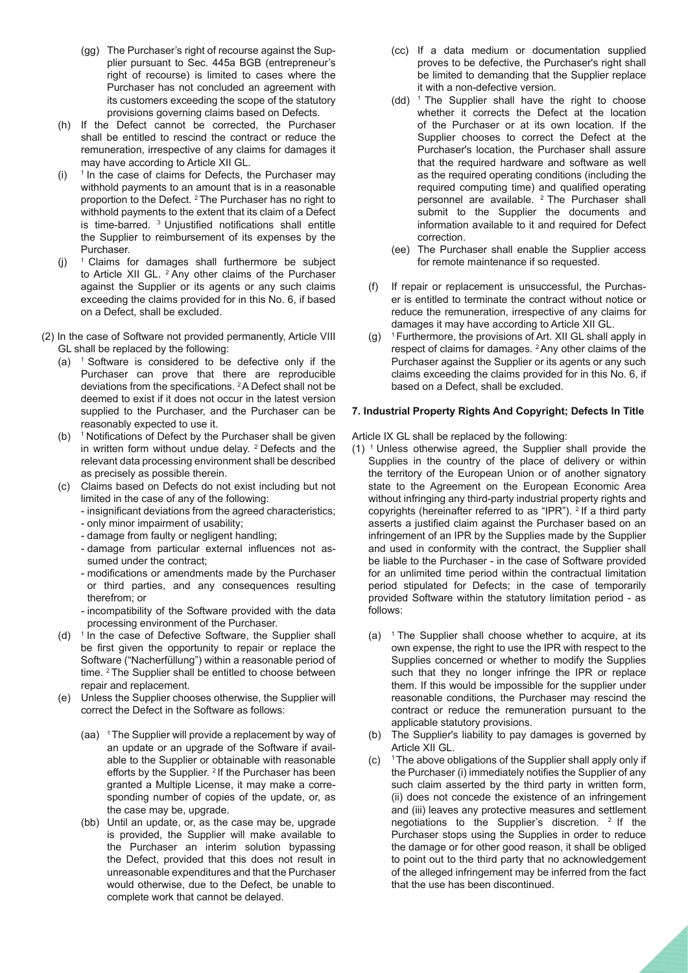- (gg) The Purchaser's right of recourse against the Supplier pursuant to Sec. 445a BGB (entrepreneur's right of recourse) is limited to cases where the Purchaser has not concluded an agreement with its customers exceeding the scope of the statutory provisions governing claims based on Defects.
- (h) If the Defect cannot be corrected, the Purchaser shall be entitled to rescind the contract or reduce the remuneration, irrespective of any claims for damages it may have according to Article XII GL.
- $(i)$  <sup>1</sup> In the case of claims for Defects, the Purchaser may withhold payments to an amount that is in a reasonable proportion to the Defect. 2 The Purchaser has no right to withhold payments to the extent that its claim of a Defect is time-barred. 3 Unjustified notifications shall entitle the Supplier to reimbursement of its expenses by the Purchaser.
- (i)  $1$  Claims for damages shall furthermore be subject to Article XII GL. 2 Any other claims of the Purchaser against the Supplier or its agents or any such claims exceeding the claims provided for in this No. 6, if based on a Defect, shall be excluded.
- (2) In the case of Software not provided permanently, Article VIII GL shall be replaced by the following:
	- (a)  $1$  Software is considered to be defective only if the Purchaser can prove that there are reproducible deviations from the specifications. 2 A Defect shall not be deemed to exist if it does not occur in the latest version supplied to the Purchaser, and the Purchaser can be reasonably expected to use it.
	- (b) 1 Notifications of Defect by the Purchaser shall be given in written form without undue delay. 2 Defects and the relevant data processing environment shall be described as precisely as possible therein.
	- (c) Claims based on Defects do not exist including but not limited in the case of any of the following:
		- insignificant deviations from the agreed characteristics;
		- only minor impairment of usability;
		- damage from faulty or negligent handling;
		- damage from particular external influences not assumed under the contract;
		- modifications or amendments made by the Purchaser or third parties, and any consequences resulting therefrom; or
		- incompatibility of the Software provided with the data processing environment of the Purchaser.
	- (d)  $1$  In the case of Defective Software, the Supplier shall be first given the opportunity to repair or replace the Software ("Nacherfüllung") within a reasonable period of time. 2 The Supplier shall be entitled to choose between repair and replacement.
	- (e) Unless the Supplier chooses otherwise, the Supplier will correct the Defect in the Software as follows:
		- (aa) <sup>1</sup> The Supplier will provide a replacement by way of an update or an upgrade of the Software if available to the Supplier or obtainable with reasonable efforts by the Supplier. <sup>2</sup> If the Purchaser has been granted a Multiple License, it may make a corresponding number of copies of the update, or, as the case may be, upgrade.
		- (bb) Until an update, or, as the case may be, upgrade is provided, the Supplier will make available to the Purchaser an interim solution bypassing the Defect, provided that this does not result in unreasonable expenditures and that the Purchaser would otherwise, due to the Defect, be unable to complete work that cannot be delayed.
- (cc) If a data medium or documentation supplied proves to be defective, the Purchaser's right shall be limited to demanding that the Supplier replace it with a non-defective version.
- $(dd)$  <sup>1</sup> The Supplier shall have the right to choose whether it corrects the Defect at the location of the Purchaser or at its own location. If the Supplier chooses to correct the Defect at the Purchaser's location, the Purchaser shall assure that the required hardware and software as well as the required operating conditions (including the required computing time) and qualified operating personnel are available. 2 The Purchaser shall submit to the Supplier the documents and information available to it and required for Defect correction.
- (ee) The Purchaser shall enable the Supplier access for remote maintenance if so requested.
- (f) If repair or replacement is unsuccessful, the Purchaser is entitled to terminate the contract without notice or reduce the remuneration, irrespective of any claims for damages it may have according to Article XII GL.
- $(q)$ <sup>1</sup> Furthermore, the provisions of Art. XII GL shall apply in respect of claims for damages. 2 Any other claims of the Purchaser against the Supplier or its agents or any such claims exceeding the claims provided for in this No. 6, if based on a Defect, shall be excluded.

#### **7. Industrial Property Rights And Copyright; Defects In Title**

Article IX GL shall be replaced by the following:

- (1) 1 Unless otherwise agreed, the Supplier shall provide the Supplies in the country of the place of delivery or within the territory of the European Union or of another signatory state to the Agreement on the European Economic Area without infringing any third-party industrial property rights and copyrights (hereinafter referred to as "IPR"). <sup>2</sup> If a third party asserts a justified claim against the Purchaser based on an infringement of an IPR by the Supplies made by the Supplier and used in conformity with the contract, the Supplier shall be liable to the Purchaser - in the case of Software provided for an unlimited time period within the contractual limitation period stipulated for Defects; in the case of temporarily provided Software within the statutory limitation period - as follows:
	- (a)  $1$  The Supplier shall choose whether to acquire, at its own expense, the right to use the IPR with respect to the Supplies concerned or whether to modify the Supplies such that they no longer infringe the IPR or replace them. If this would be impossible for the supplier under reasonable conditions, the Purchaser may rescind the contract or reduce the remuneration pursuant to the applicable statutory provisions.
	- (b) The Supplier's liability to pay damages is governed by Article XII GL.
	- $(c)$ <sup>1</sup> The above obligations of the Supplier shall apply only if the Purchaser (i) immediately notifies the Supplier of any such claim asserted by the third party in written form, (ii) does not concede the existence of an infringement and (iii) leaves any protective measures and settlement negotiations to the Supplier's discretion. 2 If the Purchaser stops using the Supplies in order to reduce the damage or for other good reason, it shall be obliged to point out to the third party that no acknowledgement of the alleged infringement may be inferred from the fact that the use has been discontinued.